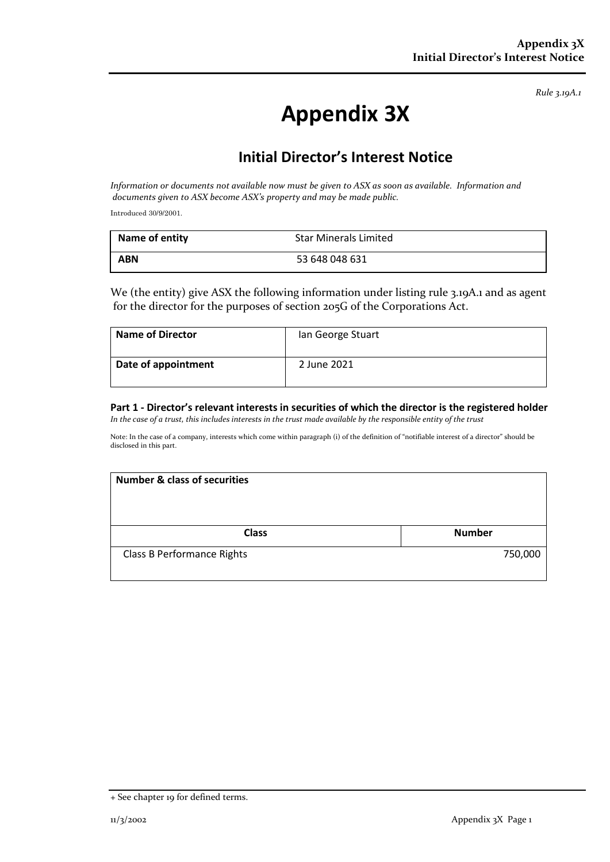*Rule 3.19A.1*

## **Appendix 3X**

## **Initial Director's Interest Notice**

*Information or documents not available now must be given to ASX as soon as available. Information and documents given to ASX become ASX's property and may be made public.*

Introduced 30/9/2001.

| Name of entity | Star Minerals Limited |
|----------------|-----------------------|
| <b>ABN</b>     | 53 648 048 631        |

We (the entity) give ASX the following information under listing rule 3.19A.1 and as agent for the director for the purposes of section 205G of the Corporations Act.

| <b>Name of Director</b> | Ian George Stuart |
|-------------------------|-------------------|
| Date of appointment     | 2 June 2021       |

**Part 1 - Director's relevant interests in securities of which the director is the registered holder** *In the case of a trust, this includes interests in the trust made available by the responsible entity of the trust*

Note: In the case of a company, interests which come within paragraph (i) of the definition of "notifiable interest of a director" should be disclosed in this part.

| <b>Number &amp; class of securities</b> |               |
|-----------------------------------------|---------------|
| <b>Class</b>                            | <b>Number</b> |
| <b>Class B Performance Rights</b>       | 750,000       |

<sup>+</sup> See chapter 19 for defined terms.